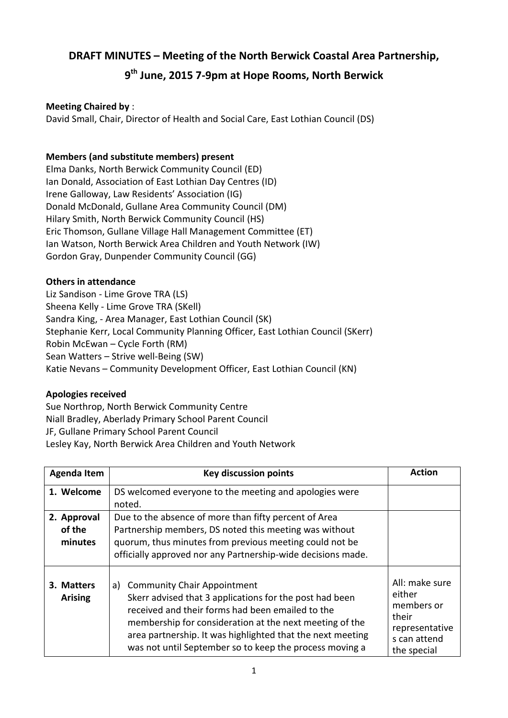# **DRAFT MINUTES – Meeting of the North Berwick Coastal Area Partnership,**

# **9 th June, 2015 7-9pm at Hope Rooms, North Berwick**

## **Meeting Chaired by** :

David Small, Chair, Director of Health and Social Care, East Lothian Council (DS)

# **Members (and substitute members) present**

Elma Danks, North Berwick Community Council (ED) Ian Donald, Association of East Lothian Day Centres (ID) Irene Galloway, Law Residents' Association (IG) Donald McDonald, Gullane Area Community Council (DM) Hilary Smith, North Berwick Community Council (HS) Eric Thomson, Gullane Village Hall Management Committee (ET) Ian Watson, North Berwick Area Children and Youth Network (IW) Gordon Gray, Dunpender Community Council (GG)

## **Others in attendance**

Liz Sandison - Lime Grove TRA (LS) Sheena Kelly - Lime Grove TRA (SKell) Sandra King, - Area Manager, East Lothian Council (SK) Stephanie Kerr, Local Community Planning Officer, East Lothian Council (SKerr) Robin McEwan – Cycle Forth (RM) Sean Watters – Strive well-Being (SW) Katie Nevans – Community Development Officer, East Lothian Council (KN)

## **Apologies received**

Sue Northrop, North Berwick Community Centre Niall Bradley, Aberlady Primary School Parent Council JF, Gullane Primary School Parent Council Lesley Kay, North Berwick Area Children and Youth Network

| <b>Agenda Item</b>               | <b>Key discussion points</b>                                                                                                                                                                                                                                                                                                                | <b>Action</b>                                                                                    |
|----------------------------------|---------------------------------------------------------------------------------------------------------------------------------------------------------------------------------------------------------------------------------------------------------------------------------------------------------------------------------------------|--------------------------------------------------------------------------------------------------|
| 1. Welcome                       | DS welcomed everyone to the meeting and apologies were<br>noted.                                                                                                                                                                                                                                                                            |                                                                                                  |
| 2. Approval<br>of the<br>minutes | Due to the absence of more than fifty percent of Area<br>Partnership members, DS noted this meeting was without<br>guorum, thus minutes from previous meeting could not be<br>officially approved nor any Partnership-wide decisions made.                                                                                                  |                                                                                                  |
| 3. Matters<br><b>Arising</b>     | <b>Community Chair Appointment</b><br>a)<br>Skerr advised that 3 applications for the post had been<br>received and their forms had been emailed to the<br>membership for consideration at the next meeting of the<br>area partnership. It was highlighted that the next meeting<br>was not until September so to keep the process moving a | All: make sure<br>either<br>members or<br>their<br>representative<br>s can attend<br>the special |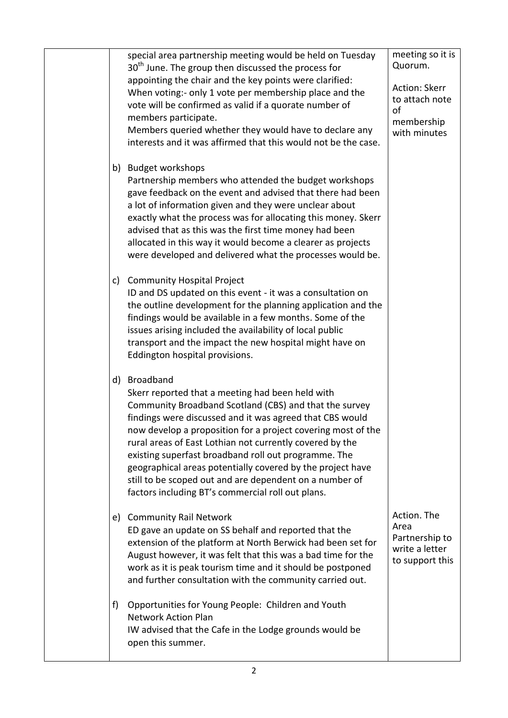| b) | special area partnership meeting would be held on Tuesday<br>30 <sup>th</sup> June. The group then discussed the process for<br>appointing the chair and the key points were clarified:<br>When voting:- only 1 vote per membership place and the<br>vote will be confirmed as valid if a quorate number of<br>members participate.<br>Members queried whether they would have to declare any<br>interests and it was affirmed that this would not be the case.<br><b>Budget workshops</b><br>Partnership members who attended the budget workshops<br>gave feedback on the event and advised that there had been | meeting so it is<br>Quorum.<br>Action: Skerr<br>to attach note<br>of<br>membership<br>with minutes |
|----|-------------------------------------------------------------------------------------------------------------------------------------------------------------------------------------------------------------------------------------------------------------------------------------------------------------------------------------------------------------------------------------------------------------------------------------------------------------------------------------------------------------------------------------------------------------------------------------------------------------------|----------------------------------------------------------------------------------------------------|
|    | a lot of information given and they were unclear about<br>exactly what the process was for allocating this money. Skerr<br>advised that as this was the first time money had been<br>allocated in this way it would become a clearer as projects<br>were developed and delivered what the processes would be.                                                                                                                                                                                                                                                                                                     |                                                                                                    |
| C) | <b>Community Hospital Project</b><br>ID and DS updated on this event - it was a consultation on<br>the outline development for the planning application and the<br>findings would be available in a few months. Some of the<br>issues arising included the availability of local public<br>transport and the impact the new hospital might have on<br>Eddington hospital provisions.                                                                                                                                                                                                                              |                                                                                                    |
|    | d) Broadband<br>Skerr reported that a meeting had been held with<br>Community Broadband Scotland (CBS) and that the survey<br>findings were discussed and it was agreed that CBS would<br>now develop a proposition for a project covering most of the<br>rural areas of East Lothian not currently covered by the<br>existing superfast broadband roll out programme. The<br>geographical areas potentially covered by the project have<br>still to be scoped out and are dependent on a number of<br>factors including BT's commercial roll out plans.                                                          |                                                                                                    |
| e) | <b>Community Rail Network</b><br>ED gave an update on SS behalf and reported that the<br>extension of the platform at North Berwick had been set for<br>August however, it was felt that this was a bad time for the<br>work as it is peak tourism time and it should be postponed<br>and further consultation with the community carried out.                                                                                                                                                                                                                                                                    | Action. The<br>Area<br>Partnership to<br>write a letter<br>to support this                         |
| f) | Opportunities for Young People: Children and Youth<br><b>Network Action Plan</b><br>IW advised that the Cafe in the Lodge grounds would be<br>open this summer.                                                                                                                                                                                                                                                                                                                                                                                                                                                   |                                                                                                    |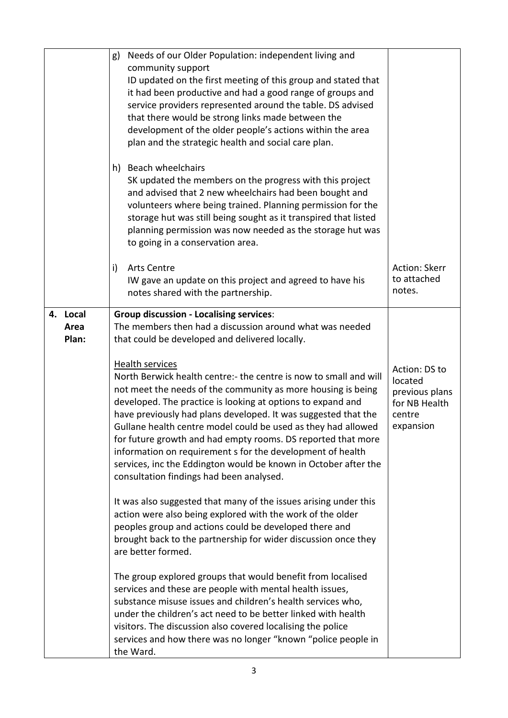|                              | Needs of our Older Population: independent living and<br>g)<br>community support<br>ID updated on the first meeting of this group and stated that<br>it had been productive and had a good range of groups and<br>service providers represented around the table. DS advised<br>that there would be strong links made between the<br>development of the older people's actions within the area<br>plan and the strategic health and social care plan.<br>h) Beach wheelchairs<br>SK updated the members on the progress with this project<br>and advised that 2 new wheelchairs had been bought and<br>volunteers where being trained. Planning permission for the<br>storage hut was still being sought as it transpired that listed<br>planning permission was now needed as the storage hut was<br>to going in a conservation area. |                                                                                    |
|------------------------------|----------------------------------------------------------------------------------------------------------------------------------------------------------------------------------------------------------------------------------------------------------------------------------------------------------------------------------------------------------------------------------------------------------------------------------------------------------------------------------------------------------------------------------------------------------------------------------------------------------------------------------------------------------------------------------------------------------------------------------------------------------------------------------------------------------------------------------------|------------------------------------------------------------------------------------|
|                              | <b>Arts Centre</b><br>i)<br>IW gave an update on this project and agreed to have his<br>notes shared with the partnership.                                                                                                                                                                                                                                                                                                                                                                                                                                                                                                                                                                                                                                                                                                             | <b>Action: Skerr</b><br>to attached<br>notes.                                      |
| Local<br>4.<br>Area<br>Plan: | <b>Group discussion - Localising services:</b><br>The members then had a discussion around what was needed<br>that could be developed and delivered locally.                                                                                                                                                                                                                                                                                                                                                                                                                                                                                                                                                                                                                                                                           |                                                                                    |
|                              | <b>Health services</b><br>North Berwick health centre:- the centre is now to small and will<br>not meet the needs of the community as more housing is being<br>developed. The practice is looking at options to expand and<br>have previously had plans developed. It was suggested that the<br>Gullane health centre model could be used as they had allowed<br>for future growth and had empty rooms. DS reported that more<br>information on requirement s for the development of health<br>services, inc the Eddington would be known in October after the<br>consultation findings had been analysed.                                                                                                                                                                                                                             | Action: DS to<br>located<br>previous plans<br>for NB Health<br>centre<br>expansion |
|                              | It was also suggested that many of the issues arising under this<br>action were also being explored with the work of the older<br>peoples group and actions could be developed there and<br>brought back to the partnership for wider discussion once they<br>are better formed.                                                                                                                                                                                                                                                                                                                                                                                                                                                                                                                                                       |                                                                                    |
|                              | The group explored groups that would benefit from localised<br>services and these are people with mental health issues,<br>substance misuse issues and children's health services who,<br>under the children's act need to be better linked with health<br>visitors. The discussion also covered localising the police<br>services and how there was no longer "known "police people in<br>the Ward.                                                                                                                                                                                                                                                                                                                                                                                                                                   |                                                                                    |